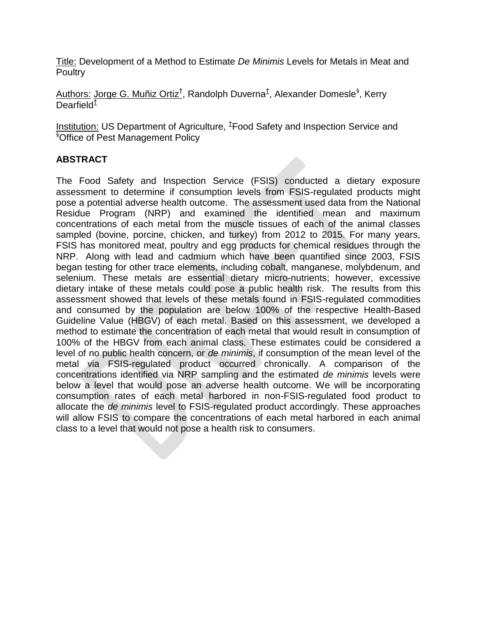Title: Development of a Method to Estimate *De Minimis* Levels for Metals in Meat and **Poultry** 

Authors: Jorge G. Muñiz Ortiz<sup>†</sup>, Randolph Duverna<sup>±</sup>, Alexander Domesle<sup>§</sup>, Kerry Dearfield $^\ddagger$ 

Institution: US Department of Agriculture, <sup>1</sup>Food Safety and Inspection Service and §Office of Pest Management Policy

#### **ABSTRACT**

The Food Safety and Inspection Service (FSIS) conducted a dietary exposure assessment to determine if consumption levels from FSIS-regulated products might pose a potential adverse health outcome. The assessment used data from the National Residue Program (NRP) and examined the identified mean and maximum concentrations of each metal from the muscle tissues of each of the animal classes sampled (bovine, porcine, chicken, and turkey) from 2012 to 2015. For many years, FSIS has monitored meat, poultry and egg products for chemical residues through the NRP. Along with lead and cadmium which have been quantified since 2003, FSIS began testing for other trace elements, including cobalt, manganese, molybdenum, and selenium. These metals are essential dietary micro-nutrients; however, excessive dietary intake of these metals could pose a public health risk. The results from this assessment showed that levels of these metals found in FSIS-regulated commodities and consumed by the population are below 100% of the respective Health-Based Guideline Value (HBGV) of each metal. Based on this assessment, we developed a method to estimate the concentration of each metal that would result in consumption of 100% of the HBGV from each animal class. These estimates could be considered a level of no public health concern, or *de minimis*, if consumption of the mean level of the metal via FSIS-regulated product occurred chronically. A comparison of the concentrations identified via NRP sampling and the estimated *de minimis* levels were below a level that would pose an adverse health outcome. We will be incorporating consumption rates of each metal harbored in non-FSIS-regulated food product to allocate the *de minimis* level to FSIS-regulated product accordingly. These approaches will allow FSIS to compare the concentrations of each metal harbored in each animal class to a level that would not pose a health risk to consumers.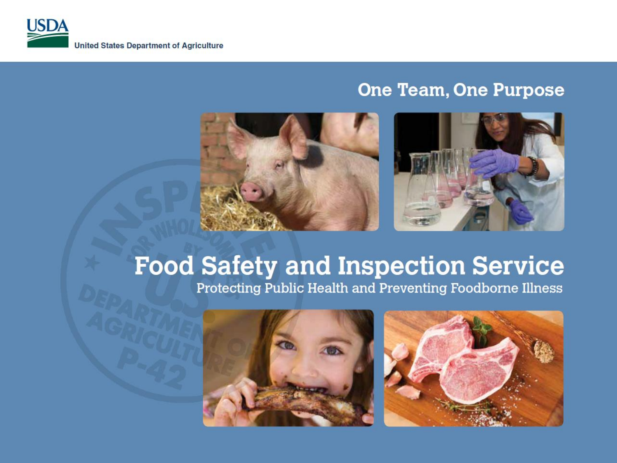#### **One Team, One Purpose**





## **Food Safety and Inspection Service**

Protecting Public Health and Preventing Foodborne Illness

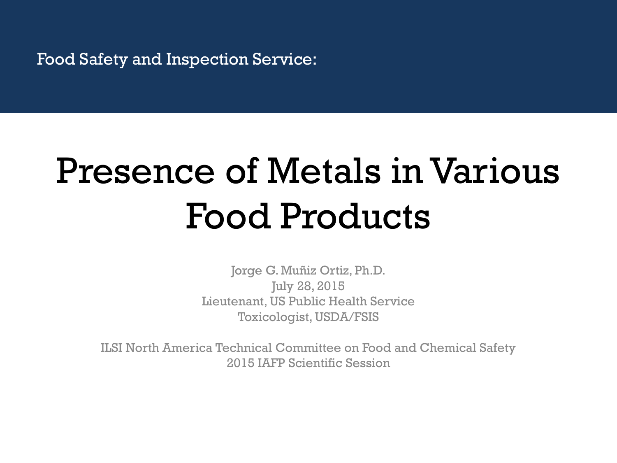## Presence of Metals in Various Food Products

Jorge G. Muñiz Ortiz, Ph.D. July 28, 2015 Lieutenant, US Public Health Service Toxicologist, USDA/FSIS

ILSI North America Technical Committee on Food and Chemical Safety 2015 IAFP Scientific Session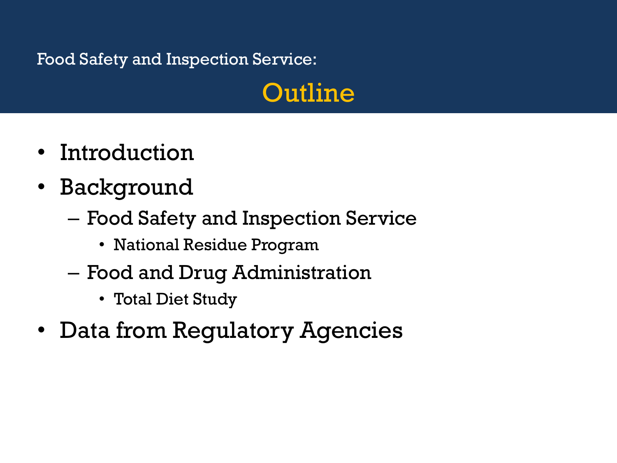## Outline

- Introduction
- Background
	- Food Safety and Inspection Service
		- National Residue Program
	- Food and Drug Administration
		- Total Diet Study
- Data from Regulatory Agencies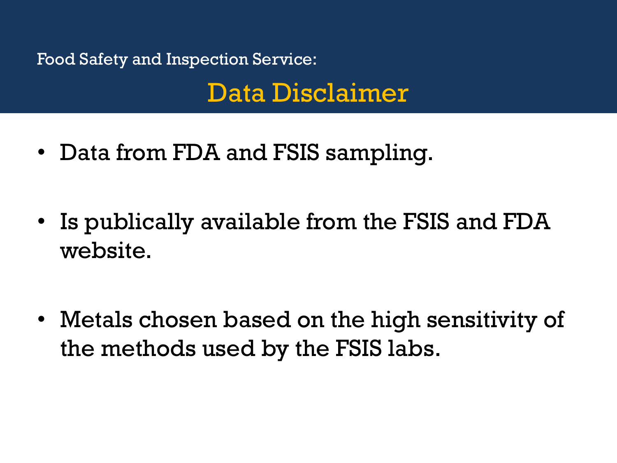Food Safety and Inspection Service: Data Disclaimer

- Data from FDA and FSIS sampling.
- Is publically available from the FSIS and FDA website.
- Metals chosen based on the high sensitivity of the methods used by the FSIS labs.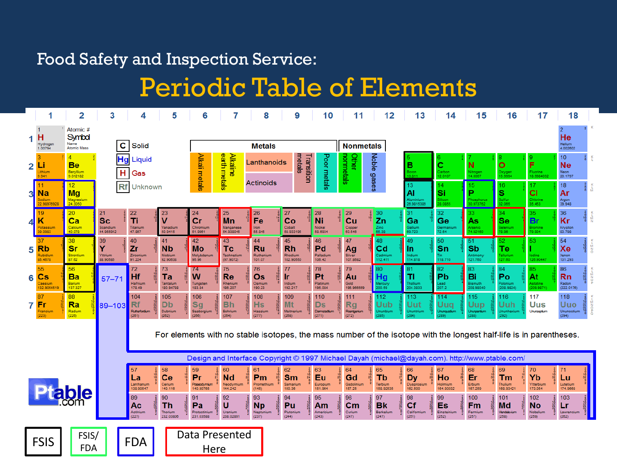## Periodic Table of Elements

|   |                                                       | 2                                                | 3                                        | 4                                          | 5                                                                                                                  | 6                                                                                        | 7                                       | 8                                                                                                 | 9                                                        | 10                                                             |                                                            | 11                        | 12                                                                                          | 13                                                        | 14                                                              | 15                                               | 16                                                                                              | 17                                              | 18                                                                               |  |
|---|-------------------------------------------------------|--------------------------------------------------|------------------------------------------|--------------------------------------------|--------------------------------------------------------------------------------------------------------------------|------------------------------------------------------------------------------------------|-----------------------------------------|---------------------------------------------------------------------------------------------------|----------------------------------------------------------|----------------------------------------------------------------|------------------------------------------------------------|---------------------------|---------------------------------------------------------------------------------------------|-----------------------------------------------------------|-----------------------------------------------------------------|--------------------------------------------------|-------------------------------------------------------------------------------------------------|-------------------------------------------------|----------------------------------------------------------------------------------|--|
|   | н<br>Hydrogen<br>1.00794                              | Atomic #<br>Symbol<br>Name<br><b>Atomic Mass</b> | $\mathbf c$                              | Solid                                      |                                                                                                                    |                                                                                          |                                         | <b>Metals</b>                                                                                     |                                                          |                                                                |                                                            | <b>Nonmetals</b>          |                                                                                             |                                                           |                                                                 |                                                  |                                                                                                 |                                                 | $\overline{2}$<br>He<br>Helium<br>4.002602                                       |  |
| 2 | ц<br>Lithium<br>6.941                                 | <b>Be</b><br>Beryllium<br>9.012182               | Н                                        | <b>Hg</b> Liquid<br>Gas                    |                                                                                                                    | Alkali metals                                                                            | earth metals<br><u>Alkaline</u>         | Lanthanoids                                                                                       | metals                                                   | Poor metals<br>Transition                                      | <b>vomnetals</b><br><b>Other</b>                           | Noble                     |                                                                                             | в                                                         | c<br>Carbon<br>12.0107                                          | N<br>Nitrogen<br>14.0067                         | 8<br>$\overline{\mathbf{o}}$<br>Oxygen<br>15.9994                                               | F<br>Fluorine<br>18.9984032                     | 10<br><b>Ne</b><br>Neon<br>20.1797                                               |  |
| 3 | Na<br>Sodium<br>2.98976928                            | 12 <sub>2</sub><br>Mg<br>Magnesium<br>24.3050    |                                          | <b>Rf</b> Unknown                          |                                                                                                                    |                                                                                          |                                         | <b>Actinoids</b>                                                                                  |                                                          |                                                                |                                                            | sese6                     |                                                                                             | 13<br>Al<br>Aluminium<br>26.9815386                       | 14<br>Si<br>Silicon<br>8.0855                                   | 15<br>P<br>hosphorus<br>0.973762                 | 16<br>s<br>Sulfur<br>32.065                                                                     | 17<br><b>CI</b><br>Chlorine<br>35.453           | 18<br>Ar<br>Argon<br>39.948                                                      |  |
|   | 19<br>ĸ<br>Potassium<br>39.0983                       | 20 <sub>2</sub><br>ca<br>Calcium<br>40.078       | 21<br><b>Sc</b><br>Scandium<br>44.955912 | 22<br>Ti<br>Titanium<br>47.867             | 23<br>$\mathbf v$<br>Vanadium<br>50.9415                                                                           | 24<br>cr<br>Chromium<br>51.9961                                                          | 25<br>Mn<br>Manganese<br>54.938045      | $26\,$<br>Fe<br>Iron<br>55.845                                                                    | 27<br>Co<br>Cobalt<br>58.933195                          | 28<br>Ni<br>Nickel<br>58.6934                                  | 29<br>Cu<br>Copper<br>63.546                               |                           | $\frac{30}{2}n$<br>$\frac{Zino}{65.38}$                                                     | 31<br>Ga<br>Gallium<br>69.723                             | 32<br>Ge<br>Germanium<br>72.64                                  | 33<br>As<br>Arsenio<br>74.92160                  | 34<br><b>Se</b><br>Selenium<br>8.96                                                             | 35<br><b>Br</b><br><b>Bromine</b><br>9.904      | 36<br>Kr<br>Krypton<br>83.798                                                    |  |
| 5 | 37<br><b>Rb</b><br>Rubidium<br>85.4678                | 38<br>Sr<br>Strontium<br>87.62                   | 39<br>Y<br>Yttrium<br>88.90585           | 40<br>Zr<br>Zirconium<br>91.224            | 41<br><b>Nb</b><br>Niobium<br>92.90638                                                                             | 42<br>Mo<br>Molybdenum<br>95.96                                                          | 43<br>Tc<br>Technetium<br>(97.9072)     | 44<br><b>Ru</b><br>Ruthenium<br>101.07                                                            | 45<br><b>Rh</b><br>Rhodium<br>102.90550                  | 46<br>Pd<br>Palladium<br>106.42                                | 47<br>Ag<br>Silver<br>107.8682                             |                           | 48<br>Cd<br>Cadmium<br>112.411                                                              | 49<br><b>In</b><br>Indium<br>114.818                      | 50<br>Sn<br>Tin<br>118.710                                      | 51<br>Sb<br>Antimony<br>121.760                  | 52.<br>Te<br>Tellurium<br>127.60                                                                | 53<br>lodine<br>126.90447                       | 54<br>Xe<br>Xenon<br>131.293                                                     |  |
| 6 | 55<br>$\overline{\text{Cs}}$<br>Caesium<br>132.905451 | 56<br>Ba<br>Barium<br>137.327                    | $57 - 71$                                | 72<br>Hf<br><b>Hafnium</b><br>178.49       | 73<br>Ta<br>Tantalum<br>180.94788                                                                                  | $\overline{14}$<br>W<br>Tungsten<br>183.84                                               | 75<br>Re<br>Rhenium<br>186.207          | 76<br>Os<br>Osmium<br>190.23                                                                      | 77<br>$\frac{18}{32}$<br><b>Ir</b><br>Iridium<br>192.217 | 78<br>Pt<br>Platinum<br>195.084                                | 79<br>Au<br>Gold<br>196.966569                             |                           | 80<br>Hg<br>Mercury<br>200.59                                                               | 81<br>TI<br>Thallium<br>204.3833                          | 82<br>Pb<br>$\begin{array}{c} \text{Leaf} \\ 207.2 \end{array}$ | 83<br>Bi<br>Bismuth<br>208.98040                 | 84<br>Po<br>Polonium<br>(208.9824)                                                              | 85<br>At<br>Astatine<br>209.9871                | 86<br><b>Rn</b><br>Radon<br>(222.0176)                                           |  |
|   | 87<br>7 <sub>Fr</sub><br>Francium<br>(223)            | 88<br>Ra<br>Radium<br>(226)                      | 89-103                                   | 104<br><b>Rf</b><br>Rutherfordium<br>(261) | 105<br>$rac{6}{32}$<br>$rac{32}{10}$<br>$rac{1}{2}$<br><b>Db</b><br>Dubnium<br>(262)                               | 106<br>$rac{1}{3}$<br>$rac{32}{32}$<br>$rac{32}{12}$<br><b>Sg</b><br>Seaborgium<br>(266) | 107<br><b>Bh</b><br>Bohrium<br>(264)    | 108<br>88132323132<br><b>Hs</b><br>Hassium<br>(277)                                               | 109<br>$rac{1}{2}$<br>Mt<br>Meitnerium<br>(268)          | 110<br>183232152<br><b>Ds</b><br>Damstadtum<br>(271)           | 111<br><b>Rg</b><br>Roentgenium<br>(272)                   | 18<br>32<br>32<br>18<br>1 | 112<br>Uub<br>Ununbium<br>285)                                                              | 113<br>Uut<br>Ununtrium<br>284)                           | 114<br>Uuq<br>Ununquadium                                       | 115<br>Uup<br>Ununpentium                        | 116<br>Uuh<br>Ununhexium<br>292)                                                                | 117<br>Uus<br>Ununseptium                       | 118<br><b>Uuo</b><br>$Uuo$ $\frac{12}{32}$<br>Ununoctium $\frac{12}{3}$<br>(294) |  |
|   |                                                       |                                                  |                                          |                                            | For elements with no stable isotopes, the mass number of the isotope with the longest half-life is in parentheses. |                                                                                          |                                         |                                                                                                   |                                                          |                                                                |                                                            |                           |                                                                                             |                                                           |                                                                 |                                                  |                                                                                                 |                                                 |                                                                                  |  |
|   |                                                       |                                                  |                                          |                                            |                                                                                                                    |                                                                                          |                                         |                                                                                                   |                                                          |                                                                |                                                            |                           |                                                                                             |                                                           |                                                                 |                                                  | Design and Interface Copyright © 1997 Michael Dayah (michael@dayah.com). http://www.ptable.com/ |                                                 |                                                                                  |  |
|   |                                                       |                                                  |                                          | -57<br>La<br>Lanthanum<br>138.90547        | 58<br>Ce<br>Cerium<br>140.116                                                                                      | 59<br>Pr<br>Praseodymium<br>140.90765                                                    | 60<br><b>Nd</b><br>Neodymium<br>144.242 | 61<br>Pm<br>Promethium<br>(145)                                                                   | 62<br>$\frac{18}{23}$<br><b>Sm</b><br>Samarium<br>150.36 | 63<br>Eu<br>Europium<br>151.964                                | 64<br>Gd<br>Gadolinium<br>157.25                           |                           | 65<br><b>Tb</b><br>Terbium<br>158.92535                                                     | 66<br><b>Dy</b><br>Dysprosium<br>162.500                  | 67<br>Ho<br>Holmium<br>164.93032                                | 68<br>Er<br>Erbium<br>167.259                    | 69<br>Tm<br>Thulium<br>168.93421                                                                | 70<br>Yb<br>Ytterbium<br>173.054                | 71<br>Lu<br>Lutetium<br>174.9668                                                 |  |
|   |                                                       |                                                  |                                          | 89<br>Ac<br>Actinium<br>(227)              | 90<br>2818218<br>$\frac{18}{32}$<br>$\frac{32}{18}$<br><b>Th</b><br>Thorium<br>232.03806                           | 91<br>$-580$<br>Pa<br>Protactinium<br>231.03588                                          | 92<br>U<br>Uranium<br>238.02891         | 93<br>$rac{2}{3}$<br>$rac{1}{9}$<br>$rac{3}{2}$<br>$rac{2}{9}$<br><b>Np</b><br>Neptunium<br>(237) | 94<br>28182292<br>Pu<br>Plutonium<br>(244)               | 95<br>$rac{1}{6}$<br>$rac{324}{6}$<br>Am<br>Americium<br>(243) | 96<br>$\frac{18}{225}$<br>$\mathsf{cm}$<br>Curium<br>(247) | $\frac{18}{225}$          | 97<br>$\frac{18}{32}$<br>$\frac{27}{6}$<br>$\frac{8}{2}$<br><b>Bk</b><br>Berkelium<br>(247) | 98<br>18<br>32<br>28<br>8,9<br>Cf<br>Californium<br>(251) | 99<br>18<br>32<br>29<br>Es<br>Einsteinium<br>(252)              | 100<br>$\frac{18}{32}$<br>Fm<br>Fermium<br>(257) | 101<br>$\frac{18}{32}$<br><b>Md</b><br>Mendelevium<br>(258)                                     | 102<br>182328<br><b>No</b><br>Nobelium<br>(259) | 103<br>Lr<br>Lawrencium<br>(262)                                                 |  |
|   | <b>FSIS</b>                                           | FSIS/<br><b>FDA</b>                              |                                          | <b>FDA</b>                                 |                                                                                                                    | Data Presented<br>Here                                                                   |                                         |                                                                                                   |                                                          |                                                                |                                                            |                           |                                                                                             |                                                           |                                                                 |                                                  |                                                                                                 |                                                 |                                                                                  |  |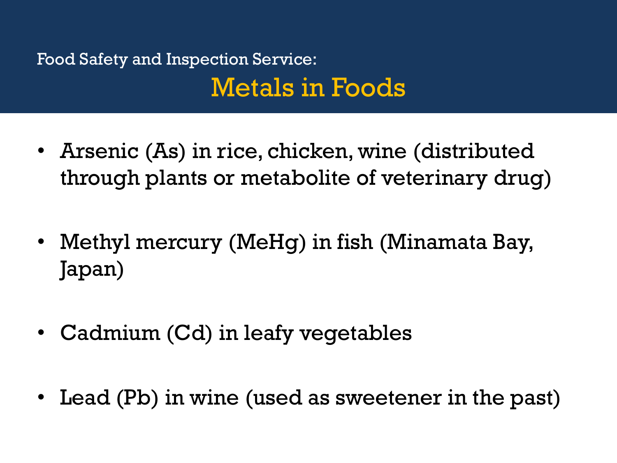## Food Safety and Inspection Service: Metals in Foods

- Arsenic (As) in rice, chicken, wine (distributed through plants or metabolite of veterinary drug)
- Methyl mercury (MeHg) in fish (Minamata Bay, Japan)
- Cadmium (Cd) in leafy vegetables
- Lead (Pb) in wine (used as sweetener in the past)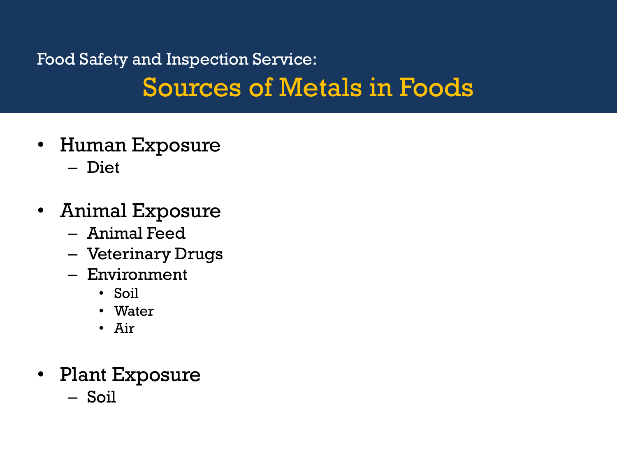## Food Safety and Inspection Service: Sources of Metals in Foods

- Human Exposure – Diet
- Animal Exposure
	- Animal Feed
	- Veterinary Drugs
	- Environment
		- Soil
		- Water
		- Air
- Plant Exposure
	- Soil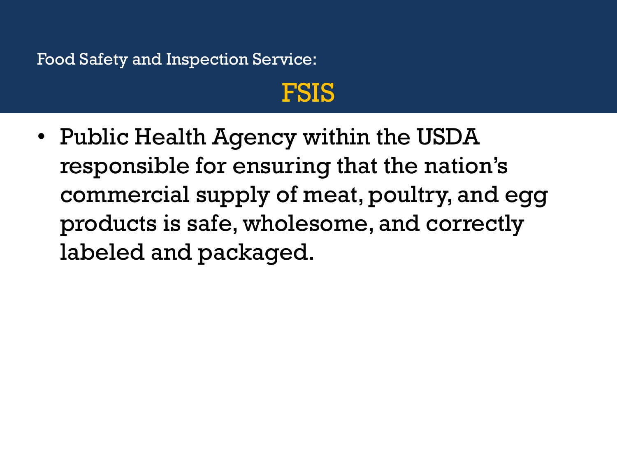## FSIS

• Public Health Agency within the USDA responsible for ensuring that the nation's commercial supply of meat, poultry, and egg products is safe, wholesome, and correctly labeled and packaged.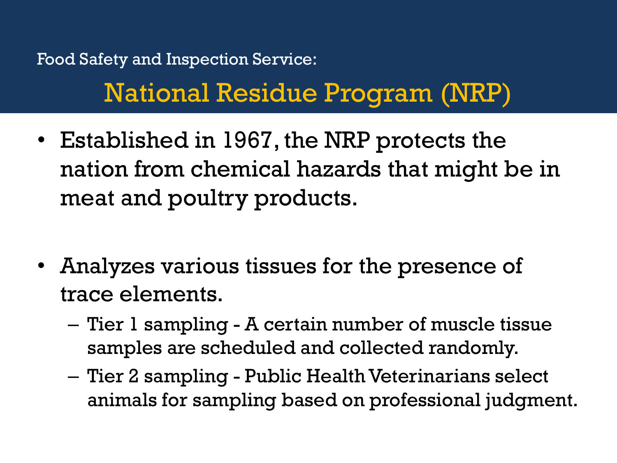## Food Safety and Inspection Service: National Residue Program (NRP)

- Established in 1967, the NRP protects the nation from chemical hazards that might be in meat and poultry products.
- Analyzes various tissues for the presence of trace elements.
	- Tier 1 sampling A certain number of muscle tissue samples are scheduled and collected randomly.
	- Tier 2 sampling Public Health Veterinarians select animals for sampling based on professional judgment.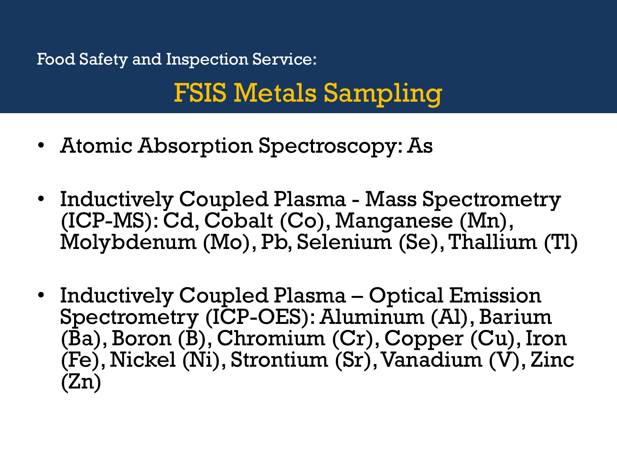## FSIS Metals Sampling

- Atomic Absorption Spectroscopy: As
- Inductively Coupled Plasma Mass Spectrometry (ICP-MS): Cd, Cobalt (Co), Manganese (Mn), Molybdenum (Mo), Pb, Selenium (Se), Thallium (Tl)
- Inductively Coupled Plasma Optical Emission Spectrometry (ICP-OES): Aluminum (Al), Barium (Ba), Boron (B), Chromium (Cr), Copper (Cu), Iron (Fe), Nickel (Ni), Strontium (Sr), Vanadium (V), Zinc (Zn)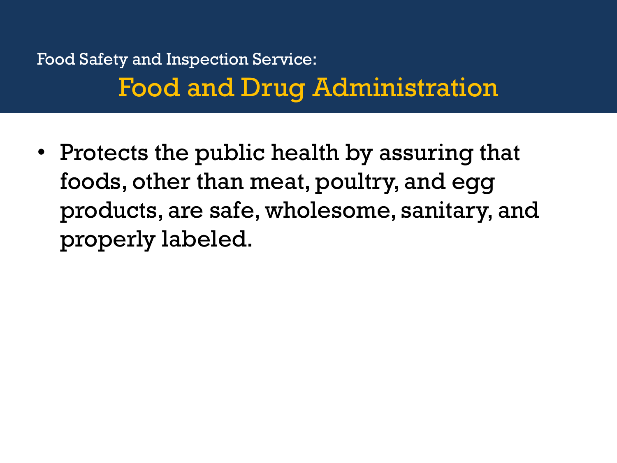## Food Safety and Inspection Service: Food and Drug Administration

• Protects the public health by assuring that foods, other than meat, poultry, and egg products, are safe, wholesome, sanitary, and properly labeled.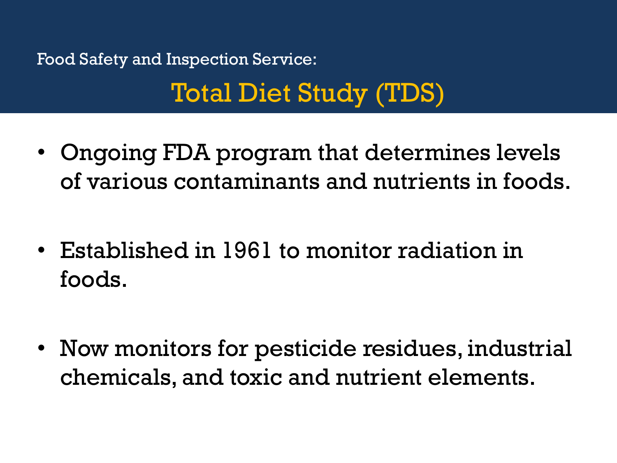## Total Diet Study (TDS)

- Ongoing FDA program that determines levels of various contaminants and nutrients in foods.
- Established in 1961 to monitor radiation in foods.
- Now monitors for pesticide residues, industrial chemicals, and toxic and nutrient elements.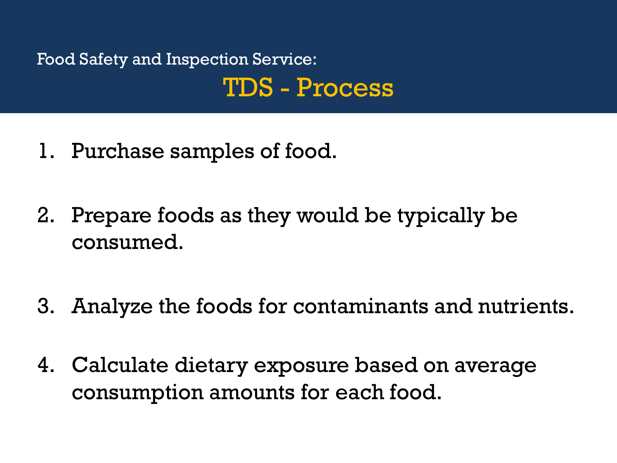## Food Safety and Inspection Service: TDS - Process

- 1. Purchase samples of food.
- 2. Prepare foods as they would be typically be consumed.
- 3. Analyze the foods for contaminants and nutrients.
- 4. Calculate dietary exposure based on average consumption amounts for each food.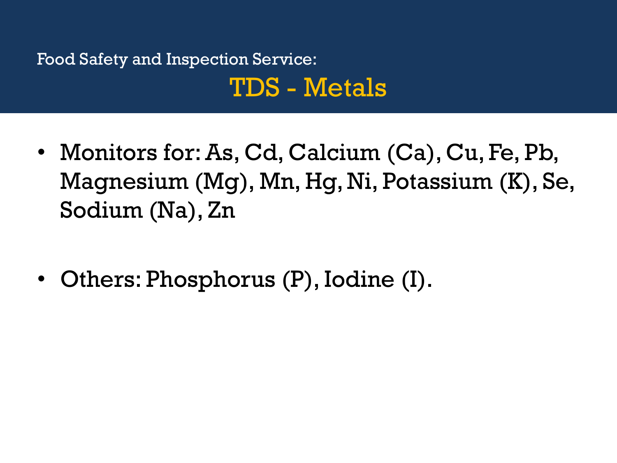## Food Safety and Inspection Service: TDS - Metals

- Monitors for: As, Cd, Calcium (Ca), Cu, Fe, Pb, Magnesium (Mg), Mn, Hg, Ni, Potassium (K), Se, Sodium (Na), Zn
- Others: Phosphorus (P), Iodine (I).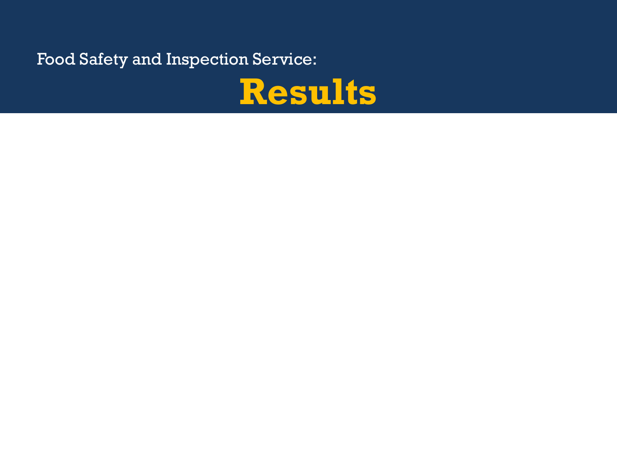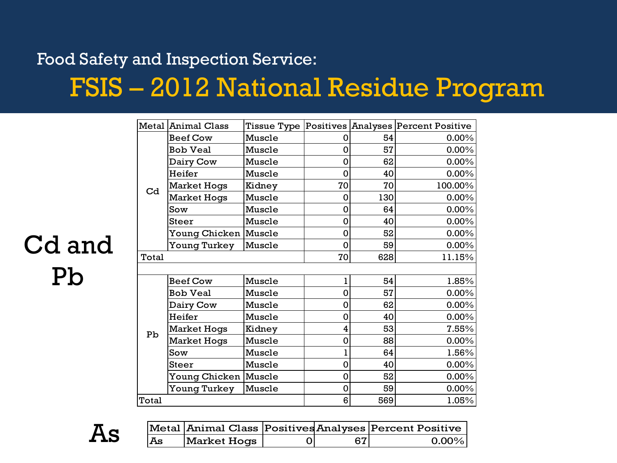## FSIS – 2012 National Residue Program

|                | Metal Animal Class   |        |    |     | Tissue Type Positives Analyses Percent Positive |
|----------------|----------------------|--------|----|-----|-------------------------------------------------|
|                | <b>Beef Cow</b>      | Muscle | 0  | 54  | $0.00\%$                                        |
|                | <b>Bob Veal</b>      | Muscle | 0  | 57  | 0.00%                                           |
|                | Dairy Cow            | Muscle | 0  | 62  | 0.00%                                           |
|                | Heifer               | Muscle | 0  | 40  | 0.00%                                           |
| C <sub>d</sub> | <b>Market Hogs</b>   | Kidney | 70 | 70  | 100.00%                                         |
|                | <b>Market Hogs</b>   | Muscle | 0  | 130 | 0.00%                                           |
|                | Sow                  | Muscle | 0  | 64  | 0.00%                                           |
|                | <b>Steer</b>         | Muscle | 0  | 40  | 0.00%                                           |
|                | Young Chicken Muscle |        | 0  | 52  | 0.00%                                           |
|                | Young Turkey         | Muscle | 0  | 59  | 0.00%                                           |
| Total          |                      |        | 70 | 628 | 11.15%                                          |
|                |                      |        |    |     |                                                 |
|                | <b>Beef Cow</b>      | Muscle | ı  | 54  | 1.85%                                           |
|                | <b>Bob Veal</b>      | Muscle | 0  | 57  | 0.00%                                           |
|                | Dairy Cow            | Muscle | 0  | 62  | $0.00\%$                                        |
|                | Heifer               | Muscle | 0  | 40  | 0.00%                                           |
| Pb             | <b>Market Hogs</b>   | Kidney | 4  | 53  | 7.55%                                           |
|                | <b>Market Hogs</b>   | Muscle | 0  | 88  | 0.00%                                           |
|                | Sow                  | Muscle | ı  | 64  | 1.56%                                           |
|                | Steer                | Muscle | 0  | 40  | 0.00%                                           |
|                | Young Chicken Muscle |        | 0  | 52  | 0.00%                                           |
|                | Young Turkey         | Muscle | 0  | 59  | 0.00%                                           |
| Total          |                      |        | 6  | 569 | 1.05%                                           |

## Cd and Pb

As

|    |             |     | Metal Animal Class Positives Analyses Percent Positive |
|----|-------------|-----|--------------------------------------------------------|
| As | Market Hogs | 671 | $\Omega$ 00%                                           |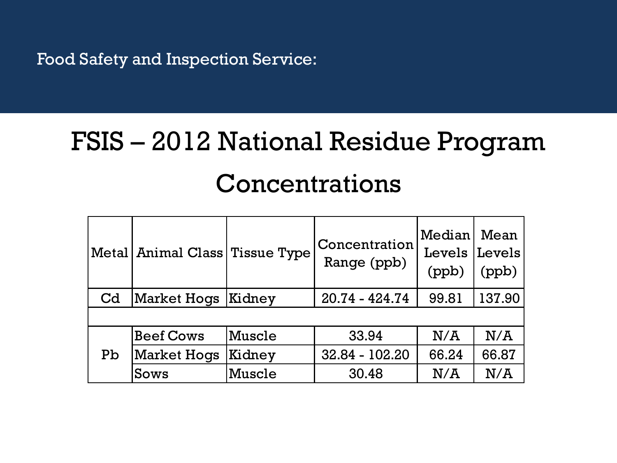## FSIS – 2012 National Residue Program Concentrations

|                | Metal   Animal Class   Tissue Type |        | Concentration<br>Range (ppb) | Median<br>Levels<br>(ppb) | Mean<br>Levels<br>(ppb) |
|----------------|------------------------------------|--------|------------------------------|---------------------------|-------------------------|
| C <sub>d</sub> | Market Hogs                        | Kidney | 20.74 - 424.74               | 99.81                     | 137.90                  |
|                |                                    |        |                              |                           |                         |
|                | <b>Beef Cows</b>                   | Muscle | 33.94                        | N/A                       | N/A                     |
| Pb             | <b>Market Hogs</b>                 | Kidney | 32.84 - 102.20               | 66.24                     | 66.87                   |
|                | Sows                               | Muscle | 30.48                        | N/A                       | N/A                     |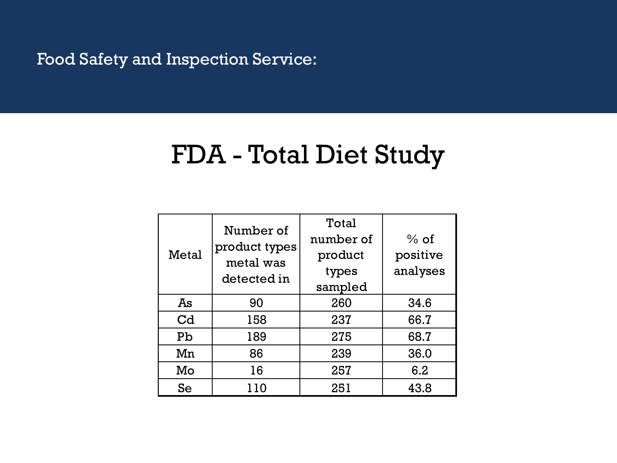## FDA - Total Diet Study

| Metal          | Number of<br>product types<br>metal was<br>detected in | Total<br>number of<br>product<br>types<br>sampled | $%$ of<br>positive<br>analyses |
|----------------|--------------------------------------------------------|---------------------------------------------------|--------------------------------|
| Ās             | 90                                                     | 260                                               | 34.6                           |
| C <sub>d</sub> | 158                                                    | 237                                               | 66.7                           |
| Pb             | 189                                                    | 275                                               | 68.7                           |
| Mn             | 86                                                     | 239                                               | 36.0                           |
| Mo             | 16                                                     | 257                                               | 6.2                            |
| Se             | 110                                                    | 251                                               | 43.8                           |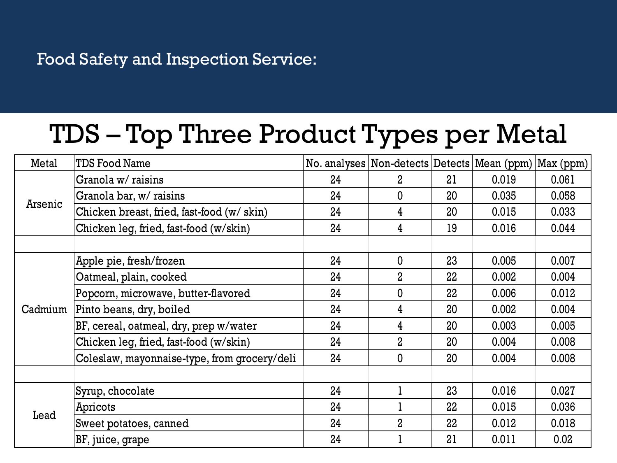## TDS – Top Three Product Types per Metal

| Metal   | <b>TDS Food Name</b>                         | No. analyses   Non-detects   Detects   Mean (ppm)   Max (ppm) |                  |    |       |       |
|---------|----------------------------------------------|---------------------------------------------------------------|------------------|----|-------|-------|
|         | Granola w/ raisins                           | 24                                                            | 2                | 21 | 0.019 | 0.061 |
| Arsenic | Granola bar, w/ raisins                      | 24                                                            | $\mathbf 0$      | 20 | 0.035 | 0.058 |
|         | Chicken breast, fried, fast-food (w/ skin)   | 24                                                            | 4                | 20 | 0.015 | 0.033 |
|         | Chicken leg, fried, fast-food (w/skin)       | 24                                                            | 4                | 19 | 0.016 | 0.044 |
|         |                                              |                                                               |                  |    |       |       |
|         | Apple pie, fresh/frozen                      | 24                                                            | $\mathbf 0$      | 23 | 0.005 | 0.007 |
|         | Oatmeal, plain, cooked                       | 24                                                            | $\overline{2}$   | 22 | 0.002 | 0.004 |
|         | Popcorn, microwave, butter-flavored          | 24                                                            | 0                | 22 | 0.006 | 0.012 |
| Cadmium | Pinto beans, dry, boiled                     | 24                                                            | 4                | 20 | 0.002 | 0.004 |
|         | BF, cereal, oatmeal, dry, prep w/water       | 24                                                            | 4                | 20 | 0.003 | 0.005 |
|         | Chicken leg, fried, fast-food (w/skin)       | 24                                                            | $\overline{2}$   | 20 | 0.004 | 0.008 |
|         | Coleslaw, mayonnaise-type, from grocery/deli | 24                                                            | $\boldsymbol{0}$ | 20 | 0.004 | 0.008 |
|         |                                              |                                                               |                  |    |       |       |
|         | Syrup, chocolate                             | 24                                                            |                  | 23 | 0.016 | 0.027 |
| Lead    | Apricots                                     | 24                                                            |                  | 22 | 0.015 | 0.036 |
|         | Sweet potatoes, canned                       | 24                                                            | $\overline{2}$   | 22 | 0.012 | 0.018 |
|         | BF, juice, grape                             | 24                                                            |                  | 21 | 0.011 | 0.02  |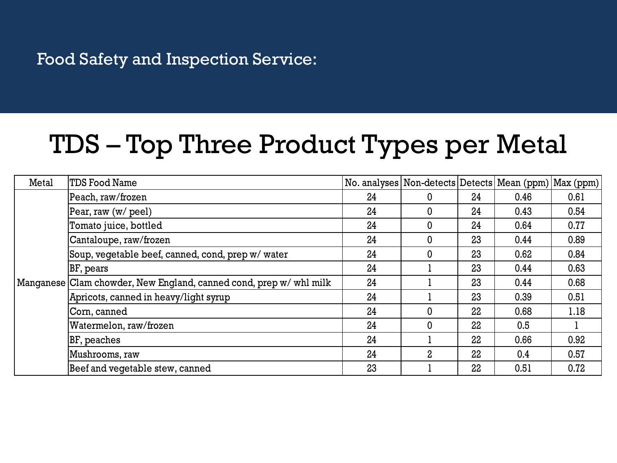## TDS – Top Three Product Types per Metal

| Metal | TDS Food Name                                                      | No. analyses   Non-detects   Detects   Mean (ppm)   Max (ppm) |                |    |      |      |
|-------|--------------------------------------------------------------------|---------------------------------------------------------------|----------------|----|------|------|
|       | Peach, raw/frozen                                                  | 24                                                            | 0              | 24 | 0.46 | 0.61 |
|       | Pear, raw (w/ peel)                                                | 24                                                            | 0              | 24 | 0.43 | 0.54 |
|       | Tomato juice, bottled                                              | 24                                                            | $\mathbf{0}$   | 24 | 0.64 | 0.77 |
|       | Cantaloupe, raw/frozen                                             | 24                                                            | 0              | 23 | 0.44 | 0.89 |
|       | Soup, vegetable beef, canned, cond, prep w/water                   | 24                                                            | $\mathbf 0$    | 23 | 0.62 | 0.84 |
|       | BF, pears                                                          | 24                                                            |                | 23 | 0.44 | 0.63 |
|       | Manganese Clam chowder, New England, canned cond, prep w/ whl milk | 24                                                            |                | 23 | 0.44 | 0.68 |
|       | Apricots, canned in heavy/light syrup                              | 24                                                            |                | 23 | 0.39 | 0.51 |
|       | Corn, canned                                                       | 24                                                            | $\Omega$       | 22 | 0.68 | 1.18 |
|       | Watermelon, raw/frozen                                             | 24                                                            | 0              | 22 | 0.5  |      |
|       | BF, peaches                                                        | 24                                                            |                | 22 | 0.66 | 0.92 |
|       | Mushrooms, raw                                                     | 24                                                            | $\overline{2}$ | 22 | 0.4  | 0.57 |
|       | Beef and vegetable stew, canned                                    | 23                                                            |                | 22 | 0.51 | 0.72 |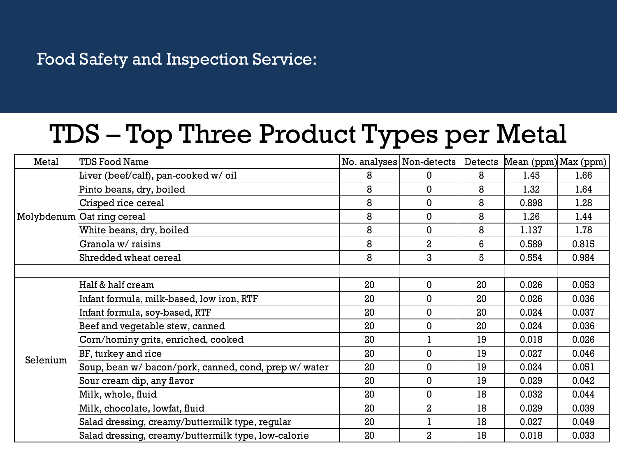## TDS – Top Three Product Types per Metal

| Metal    | <b>TDS Food Name</b>                                  | No. analyses   Non-detects |                | Detects | Mean (ppm) Max (ppm) |       |
|----------|-------------------------------------------------------|----------------------------|----------------|---------|----------------------|-------|
|          | Liver (beef/calf), pan-cooked w/ oil                  | 8                          | 0              | 8       | 1.45                 | 1.66  |
|          | Pinto beans, dry, boiled                              | 8                          | 0              | 8       | 1.32                 | 1.64  |
|          | Crisped rice cereal                                   | 8                          | 0              | 8       | 0.898                | 1.28  |
|          | Molybdenum Oat ring cereal                            | 8                          | 0              | 8       | 1.26                 | 1.44  |
|          | White beans, dry, boiled                              | 8                          | $\mathbf 0$    | 8       | 1.137                | 1.78  |
|          | Granola w/ raisins                                    | 8                          | $\overline{a}$ | 6       | 0.589                | 0.815 |
|          | Shredded wheat cereal                                 | 8                          | 3              | 5       | 0.554                | 0.984 |
|          |                                                       |                            |                |         |                      |       |
|          | Half & half cream                                     | 20                         | 0              | 20      | 0.026                | 0.053 |
|          | Infant formula, milk-based, low iron, RTF             | 20                         | 0              | 20      | 0.026                | 0.036 |
|          | Infant formula, soy-based, RTF                        | 20                         | 0              | 20      | 0.024                | 0.037 |
|          | Beef and vegetable stew, canned                       | 20                         | 0              | 20      | 0.024                | 0.036 |
|          | Corn/hominy grits, enriched, cooked                   | 20                         |                | 19      | 0.018                | 0.026 |
| Selenium | BF, turkey and rice                                   | 20                         | 0              | 19      | 0.027                | 0.046 |
|          | Soup, bean w/ bacon/pork, canned, cond, prep w/ water | 20                         | 0              | 19      | 0.024                | 0.051 |
|          | Sour cream dip, any flavor                            | 20                         | 0              | 19      | 0.029                | 0.042 |
|          | Milk, whole, fluid                                    | 20                         | 0              | 18      | 0.032                | 0.044 |
|          | Milk, chocolate, lowfat, fluid                        | 20                         | $\overline{2}$ | 18      | 0.029                | 0.039 |
|          | Salad dressing, creamy/buttermilk type, regular       | 20                         |                | 18      | 0.027                | 0.049 |
|          | Salad dressing, creamy/buttermilk type, low-calorie   | 20                         | $\overline{a}$ | 18      | 0.018                | 0.033 |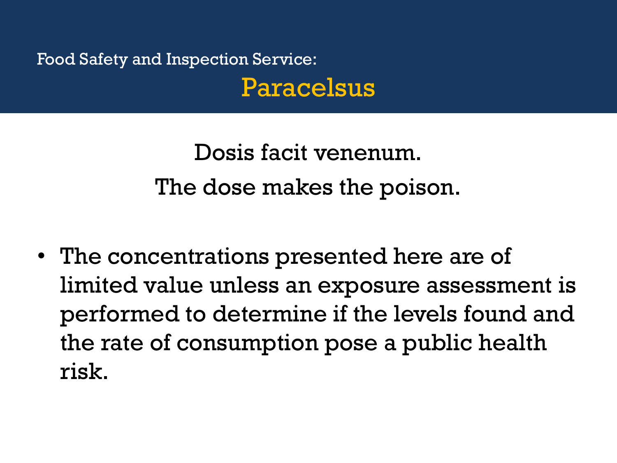Food Safety and Inspection Service: Paracelsus

> Dosis facit venenum. The dose makes the poison.

• The concentrations presented here are of limited value unless an exposure assessment is performed to determine if the levels found and the rate of consumption pose a public health risk.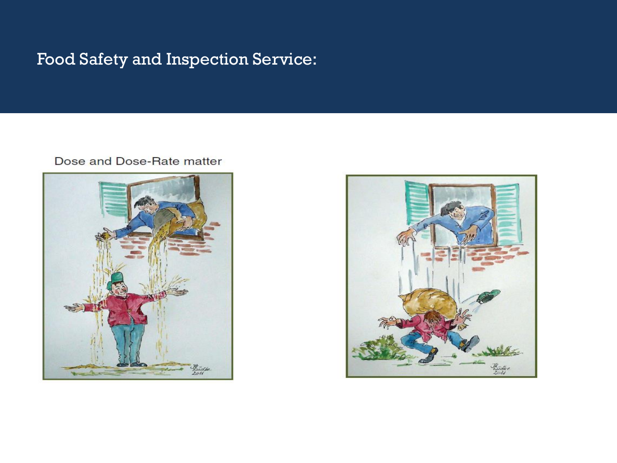#### Dose and Dose-Rate matter



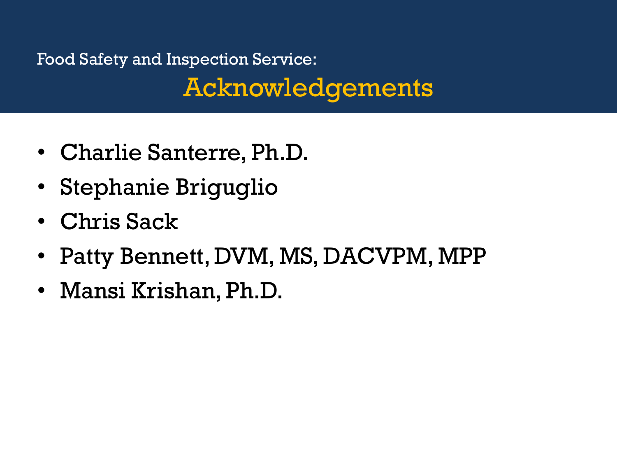## Food Safety and Inspection Service: Acknowledgements

- Charlie Santerre, Ph.D.
- Stephanie Briguglio
- Chris Sack
- Patty Bennett, DVM, MS, DACVPM, MPP
- Mansi Krishan, Ph.D.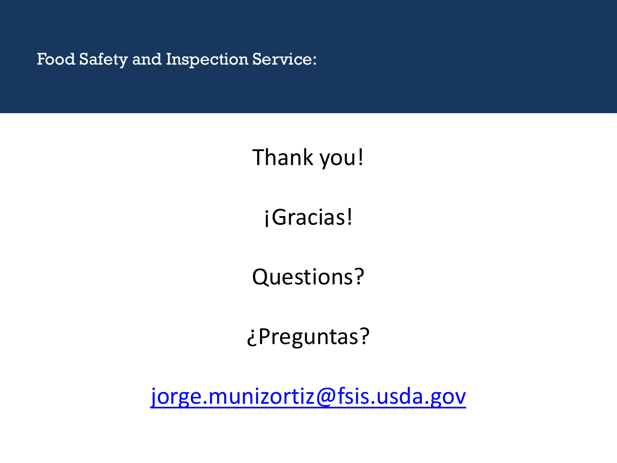## Thank you!

¡Gracias!

Questions?

¿Preguntas?

[jorge.munizortiz@fsis.usda.gov](mailto:jorge.munizortiz@fsis.usda.gov)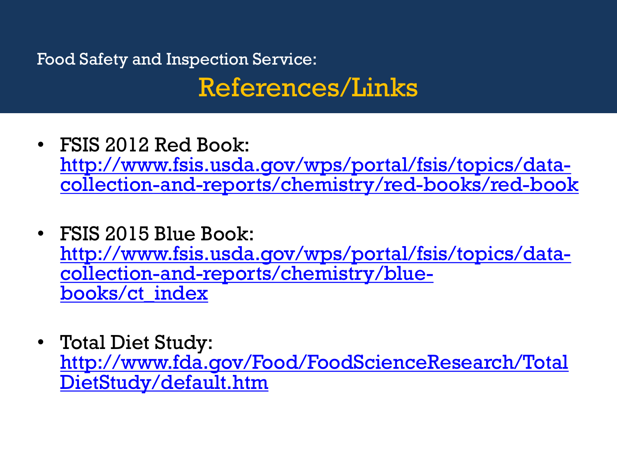## Food Safety and Inspection Service: References/Links

- FSIS 2012 Red Book: [http://www.fsis.usda.gov/wps/portal/fsis/topics/data](http://www.fsis.usda.gov/wps/portal/fsis/topics/data-collection-and-reports/chemistry/red-books/red-book)[collection-and-reports/chemistry/red-books/red-book](http://www.fsis.usda.gov/wps/portal/fsis/topics/data-collection-and-reports/chemistry/red-books/red-book)
- FSIS 2015 Blue Book: [http://www.fsis.usda.gov/wps/portal/fsis/topics/data](http://www.fsis.usda.gov/wps/portal/fsis/topics/data-collection-and-reports/chemistry/blue-books/ct_index)[collection-and-reports/chemistry/blue](http://www.fsis.usda.gov/wps/portal/fsis/topics/data-collection-and-reports/chemistry/blue-books/ct_index)[books/ct\\_index](http://www.fsis.usda.gov/wps/portal/fsis/topics/data-collection-and-reports/chemistry/blue-books/ct_index)
- Total Diet Study: [http://www.fda.gov/Food/FoodScienceResearch/Total](http://www.fda.gov/Food/FoodScienceResearch/TotalDietStudy/default.htm) [DietStudy/default.htm](http://www.fda.gov/Food/FoodScienceResearch/TotalDietStudy/default.htm)